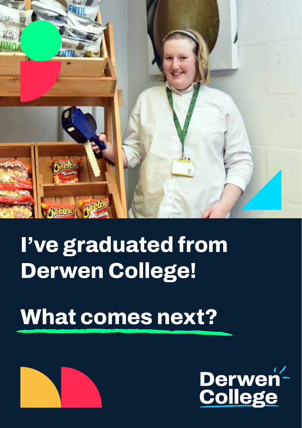

## **I've graduated from Derwen College!**

## **What comes next?**



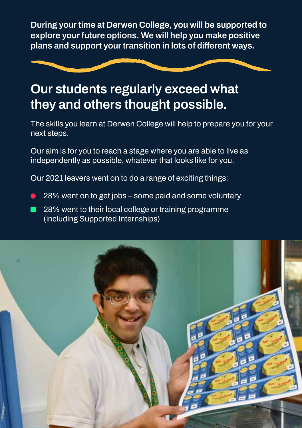**During your time at Derwen College, you will be supported to explore your future options. We will help you make positive plans and support your transition in lots of different ways.**



#### **Our students regularly exceed what they and others thought possible.**

**The skills you learn at Derwen College will help to prepare you for your next steps.**

**Our aim is for you to reach a stage where you are able to live as independently as possible, whatever that looks like for you.**

**Our 2021 leavers went on to do a range of exciting things:**

- **• 28% went on to get jobs some paid and some voluntary**
- **• 28% went to their local college or training programme (including Supported Internships)**

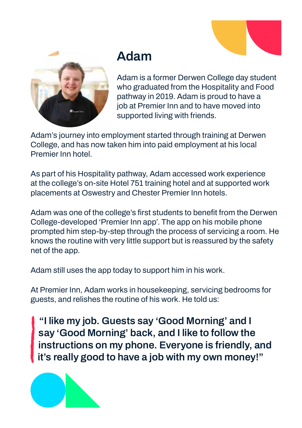

#### **Adam**

**Adam is a former Derwen College day student who graduated from the Hospitality and Food pathway in 2019. Adam is proud to have a job at Premier Inn and to have moved into supported living with friends.**

**Adam's journey into employment started through training at Derwen College, and has now taken him into paid employment at his local Premier Inn hotel.**

**As part of his Hospitality pathway, Adam accessed work experience at the college's on-site Hotel 751 training hotel and at supported work placements at Oswestry and Chester Premier Inn hotels.** 

**Adam was one of the college's first students to benefit from the Derwen College-developed 'Premier Inn app'. The app on his mobile phone prompted him step-by-step through the process of servicing a room. He knows the routine with very little support but is reassured by the safety net of the app.**

**Adam still uses the app today to support him in his work.**

**At Premier Inn, Adam works in housekeeping, servicing bedrooms for guests, and relishes the routine of his work. He told us:**

**"I like my job. Guests say 'Good Morning' and I say 'Good Morning' back, and I like to follow the instructions on my phone. Everyone is friendly, and it's really good to have a job with my own money!"**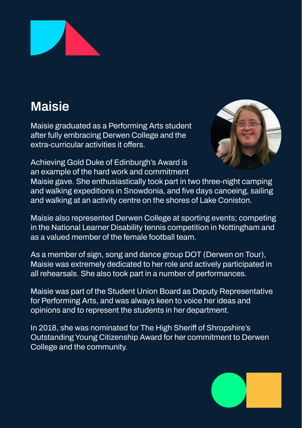

### **Maisie**

**Maisie graduated as a Performing Arts student after fully embracing Derwen College and the extra-curricular activities it offers.**



**Achieving Gold Duke of Edinburgh's Award is an example of the hard work and commitment** 

**Maisie gave. She enthusiastically took part in two three-night camping and walking expeditions in Snowdonia, and five days canoeing, sailing and walking at an activity centre on the shores of Lake Coniston.** 

**Maisie also represented Derwen College at sporting events; competing in the National Learner Disability tennis competition in Nottingham and as a valued member of the female football team.** 

**As a member of sign, song and dance group DOT (Derwen on Tour), Maisie was extremely dedicated to her role and actively participated in all rehearsals. She also took part in a number of performances.**

**Maisie was part of the Student Union Board as Deputy Representative for Performing Arts, and was always keen to voice her ideas and opinions and to represent the students in her department.**

**In 2018, she was nominated for The High Sheriff of Shropshire's Outstanding Young Citizenship Award for her commitment to Derwen College and the community.** 

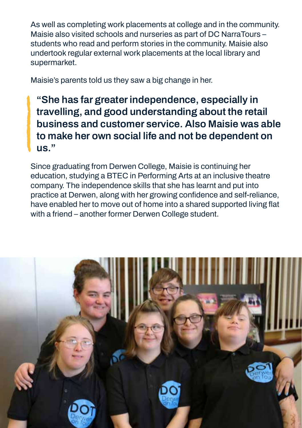**As well as completing work placements at college and in the community. Maisie also visited schools and nurseries as part of DC NarraTours – students who read and perform stories in the community. Maisie also undertook regular external work placements at the local library and supermarket.**

**Maisie's parents told us they saw a big change in her.**

**"She has far greater independence, especially in travelling, and good understanding about the retail business and customer service. Also Maisie was able to make her own social life and not be dependent on us."**

**Since graduating from Derwen College, Maisie is continuing her education, studying a BTEC in Performing Arts at an inclusive theatre company. The independence skills that she has learnt and put into practice at Derwen, along with her growing confidence and self-reliance, have enabled her to move out of home into a shared supported living flat with a friend – another former Derwen College student.** 

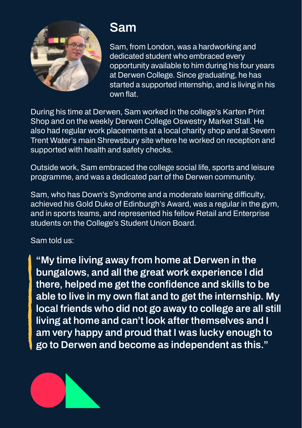

#### **Sam**

**Sam, from London, was a hardworking and dedicated student who embraced every opportunity available to him during his four years at Derwen College. Since graduating, he has started a supported internship, and is living in his own flat.**

**During his time at Derwen, Sam worked in the college's Karten Print Shop and on the weekly Derwen College Oswestry Market Stall. He also had regular work placements at a local charity shop and at Severn Trent Water's main Shrewsbury site where he worked on reception and supported with health and safety checks.**

**Outside work, Sam embraced the college social life, sports and leisure programme, and was a dedicated part of the Derwen community.**

**Sam, who has Down's Syndrome and a moderate learning difficulty, achieved his Gold Duke of Edinburgh's Award, was a regular in the gym, and in sports teams, and represented his fellow Retail and Enterprise students on the College's Student Union Board.**

#### **Sam told us:**

**"My time living away from home at Derwen in the bungalows, and all the great work experience I did there, helped me get the confidence and skills to be able to live in my own flat and to get the internship. My local friends who did not go away to college are all still living at home and can't look after themselves and I am very happy and proud that I was lucky enough to go to Derwen and become as independent as this."**

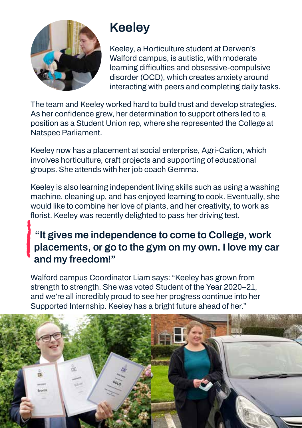

#### **Keeley**

**Keeley, a Horticulture student at Derwen's Walford campus, is autistic, with moderate learning difficulties and obsessive-compulsive disorder (OCD), which creates anxiety around interacting with peers and completing daily tasks.** 

**The team and Keeley worked hard to build trust and develop strategies. As her confidence grew, her determination to support others led to a position as a Student Union rep, where she represented the College at Natspec Parliament.**

**Keeley now has a placement at social enterprise, Agri-Cation, which involves horticulture, craft projects and supporting of educational groups. She attends with her job coach Gemma.**

**Keeley is also learning independent living skills such as using a washing machine, cleaning up, and has enjoyed learning to cook. Eventually, she would like to combine her love of plants, and her creativity, to work as florist. Keeley was recently delighted to pass her driving test.**

#### **"It gives me independence to come to College, work placements, or go to the gym on my own. I love my car and my freedom!"**

**Walford campus Coordinator Liam says: "Keeley has grown from strength to strength. She was voted Student of the Year 2020–21, and we're all incredibly proud to see her progress continue into her Supported Internship. Keeley has a bright future ahead of her."**